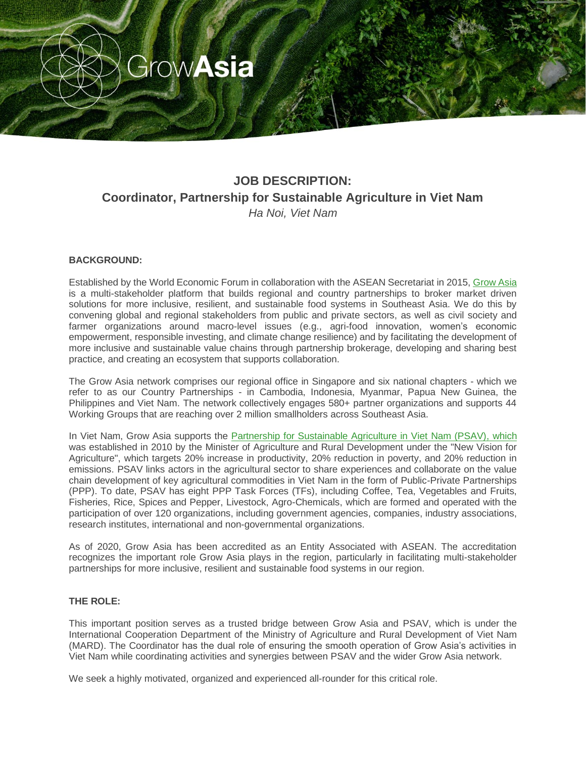

# **JOB DESCRIPTION: Coordinator, Partnership for Sustainable Agriculture in Viet Nam** *Ha Noi, Viet Nam*

## **BACKGROUND:**

Established by the World Economic Forum in collaboration with the ASEAN Secretariat in 2015, [Grow Asia](http://www.growasia.org/) is a multi-stakeholder platform that builds regional and country partnerships to broker market driven solutions for more inclusive, resilient, and sustainable food systems in Southeast Asia. We do this by convening global and regional stakeholders from public and private sectors, as well as civil society and farmer organizations around macro-level issues (e.g., agri-food innovation, women's economic empowerment, responsible investing, and climate change resilience) and by facilitating the development of more inclusive and sustainable value chains through partnership brokerage, developing and sharing best practice, and creating an ecosystem that supports collaboration.

The Grow Asia network comprises our regional office in Singapore and six national chapters - which we refer to as our Country Partnerships - in Cambodia, Indonesia, Myanmar, Papua New Guinea, the Philippines and Viet Nam. The network collectively engages 580+ partner organizations and supports 44 Working Groups that are reaching over 2 million smallholders across Southeast Asia.

In Viet Nam, Grow Asia supports the [Partnership for Sustainable Agriculture in Viet Nam \(PSAV\),](http://psav-mard.org.vn/index.php/lang-English/) which was established in 2010 by the Minister of Agriculture and Rural Development under the "New Vision for Agriculture", which targets 20% increase in productivity, 20% reduction in poverty, and 20% reduction in emissions. PSAV links actors in the agricultural sector to share experiences and collaborate on the value chain development of key agricultural commodities in Viet Nam in the form of Public-Private Partnerships (PPP). To date, PSAV has eight PPP Task Forces (TFs), including Coffee, Tea, Vegetables and Fruits, Fisheries, Rice, Spices and Pepper, Livestock, Agro-Chemicals, which are formed and operated with the participation of over 120 organizations, including government agencies, companies, industry associations, research institutes, international and non-governmental organizations.

As of 2020, Grow Asia has been accredited as an Entity Associated with ASEAN. The accreditation recognizes the important role Grow Asia plays in the region, particularly in facilitating multi-stakeholder partnerships for more inclusive, resilient and sustainable food systems in our region.

#### **THE ROLE:**

This important position serves as a trusted bridge between Grow Asia and PSAV, which is under the International Cooperation Department of the Ministry of Agriculture and Rural Development of Viet Nam (MARD). The Coordinator has the dual role of ensuring the smooth operation of Grow Asia's activities in Viet Nam while coordinating activities and synergies between PSAV and the wider Grow Asia network.

We seek a highly motivated, organized and experienced all-rounder for this critical role.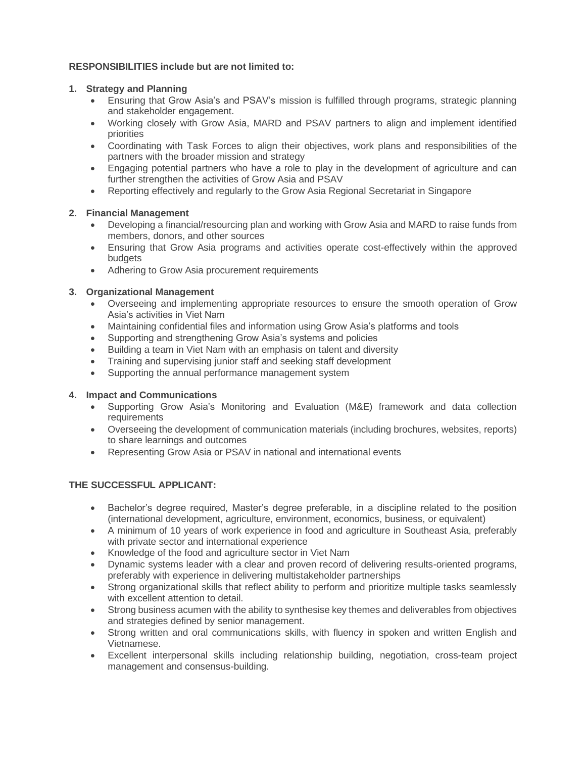## **RESPONSIBILITIES include but are not limited to:**

### **1. Strategy and Planning**

- Ensuring that Grow Asia's and PSAV's mission is fulfilled through programs, strategic planning and stakeholder engagement.
- Working closely with Grow Asia, MARD and PSAV partners to align and implement identified priorities
- Coordinating with Task Forces to align their objectives, work plans and responsibilities of the partners with the broader mission and strategy
- Engaging potential partners who have a role to play in the development of agriculture and can further strengthen the activities of Grow Asia and PSAV
- Reporting effectively and regularly to the Grow Asia Regional Secretariat in Singapore

## **2. Financial Management**

- Developing a financial/resourcing plan and working with Grow Asia and MARD to raise funds from members, donors, and other sources
- Ensuring that Grow Asia programs and activities operate cost-effectively within the approved budgets
- Adhering to Grow Asia procurement requirements

## **3. Organizational Management**

- Overseeing and implementing appropriate resources to ensure the smooth operation of Grow Asia's activities in Viet Nam
- Maintaining confidential files and information using Grow Asia's platforms and tools
- Supporting and strengthening Grow Asia's systems and policies
- Building a team in Viet Nam with an emphasis on talent and diversity
- Training and supervising junior staff and seeking staff development
- Supporting the annual performance management system

#### **4. Impact and Communications**

- Supporting Grow Asia's Monitoring and Evaluation (M&E) framework and data collection **requirements**
- Overseeing the development of communication materials (including brochures, websites, reports) to share learnings and outcomes
- Representing Grow Asia or PSAV in national and international events

#### **THE SUCCESSFUL APPLICANT:**

- Bachelor's degree required, Master's degree preferable, in a discipline related to the position (international development, agriculture, environment, economics, business, or equivalent)
- A minimum of 10 years of work experience in food and agriculture in Southeast Asia, preferably with private sector and international experience
- Knowledge of the food and agriculture sector in Viet Nam
- Dynamic systems leader with a clear and proven record of delivering results-oriented programs, preferably with experience in delivering multistakeholder partnerships
- Strong organizational skills that reflect ability to perform and prioritize multiple tasks seamlessly with excellent attention to detail.
- Strong business acumen with the ability to synthesise key themes and deliverables from objectives and strategies defined by senior management.
- Strong written and oral communications skills, with fluency in spoken and written English and Vietnamese.
- Excellent interpersonal skills including relationship building, negotiation, cross-team project management and consensus-building.